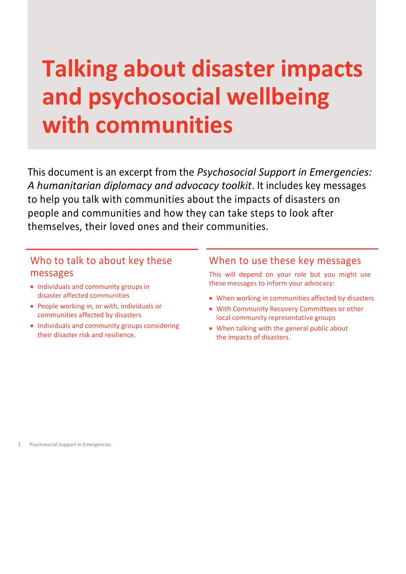# **Talking about disaster impacts and psychosocial wellbeing with communities**

This document is an excerpt from the *Psychosocial Support in Emergencies: A humanitarian diplomacy and advocacy toolkit*. It includes key messages to help you talk with communities about the impacts of disasters on people and communities and how they can take steps to look after themselves, their loved ones and their communities.

# Who to talk to about key these messages

- Individuals and community groups in disaster affected communities
- People working in, or with, individuals or communities affected by disasters
- Individuals and community groups considering their disaster risk and resilience.

# When to use these key messages

This will depend on your role but you might use these messages to inform your advocacy:

- When working in communities affected by disasters
- With Community Recovery Committees or other local community representative groups
- When talking with the general public about the impacts of disasters.

1 Psychosocial Support in Emergencies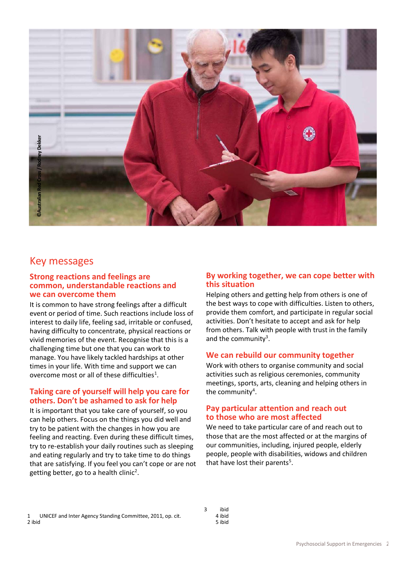

# Key messages

#### **Strong reactions and feelings are common, understandable reactions and we can overcome them**

It is common to have strong feelings after a difficult event or period of time. Such reactions include loss of interest to daily life, feeling sad, irritable or confused, having difficulty to concentrate, physical reactions or vivid memories of the event. Recognise that this is a challenging time but one that you can work to manage. You have likely tackled hardships at other times in your life. With time and support we can overcome most or all of these difficulties<sup>1</sup>.

## **Taking care of yourself will help you care for others. Don't be ashamed to ask for help**

It is important that you take care of yourself, so you can help others. Focus on the things you did well and try to be patient with the changes in how you are feeling and reacting. Even during these difficult times, try to re-establish your daily routines such as sleeping and eating regularly and try to take time to do things that are satisfying. If you feel you can't cope or are not getting better, go to a health clinic<sup>2</sup>.

# **By working together, we can cope better with this situation**

Helping others and getting help from others is one of the best ways to cope with difficulties. Listen to others, provide them comfort, and participate in regular social activities. Don't hesitate to accept and ask for help from others. Talk with people with trust in the family and the community<sup>3</sup>.

# **We can rebuild our community together**

Work with others to organise community and social activities such as religious ceremonies, community meetings, sports, arts, cleaning and helping others in the community<sup>4</sup>.

## **Pay particular attention and reach out to those who are most affected**

We need to take particular care of and reach out to those that are the most affected or at the margins of our communities, including, injured people, elderly people, people with disabilities, widows and children that have lost their parents<sup>5</sup>.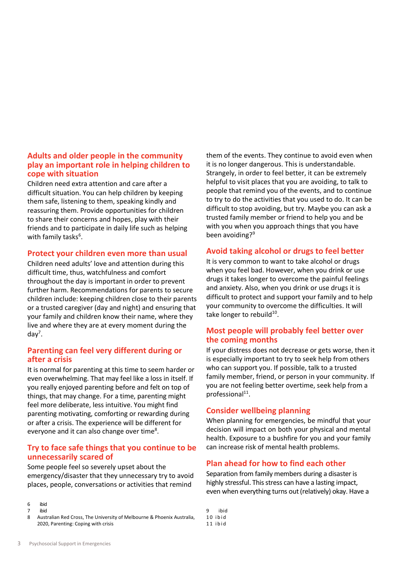# **Adults and older people in the community play an important role in helping children to cope with situation**

Children need extra attention and care after a difficult situation. You can help children by keeping them safe, listening to them, speaking kindly and reassuring them. Provide opportunities for children to share their concerns and hopes, play with their friends and to participate in daily life such as helping with family tasks $^6$ .

#### **Protect your children even more than usual**

Children need adults' love and attention during this difficult time, thus, watchfulness and comfort throughout the day is important in order to prevent further harm. Recommendations for parents to secure children include: keeping children close to their parents or a trusted caregiver (day and night) and ensuring that your family and children know their name, where they live and where they are at every moment during the  $day^7$ .

## **Parenting can feel very different during or after a crisis**

It is normal for parenting at this time to seem harder or even overwhelming. That may feel like a loss in itself. If you really enjoyed parenting before and felt on top of things, that may change. For a time, parenting might feel more deliberate, less intuitive. You might find parenting motivating, comforting or rewarding during or after a crisis. The experience will be different for everyone and it can also change over time<sup>8</sup>.

## **Try to face safe things that you continue to be unnecessarily scared of**

Some people feel so severely upset about the emergency/disaster that they unnecessary try to avoid places, people, conversations or activities that remind

6 ibid

Australian Red Cross, The University of Melbourne & Phoenix Australia, 2020, Parenting: Coping with crisis

them of the events. They continue to avoid even when it is no longer dangerous. This is understandable. Strangely, in order to feel better, it can be extremely helpful to visit places that you are avoiding, to talk to people that remind you of the events, and to continue to try to do the activities that you used to do. It can be difficult to stop avoiding, but try. Maybe you can ask a trusted family member or friend to help you and be with you when you approach things that you have been avoiding?<sup>9</sup>

# **Avoid taking alcohol or drugs to feel better**

It is very common to want to take alcohol or drugs when you feel bad. However, when you drink or use drugs it takes longer to overcome the painful feelings and anxiety. Also, when you drink or use drugs it is difficult to protect and support your family and to help your community to overcome the difficulties. It will take longer to rebuild<sup>10</sup>.

# **Most people will probably feel better over the coming months**

If your distress does not decrease or gets worse, then it is especially important to try to seek help from others who can support you. If possible, talk to a trusted family member, friend, or person in your community. If you are not feeling better overtime, seek help from a professional<sup>11</sup>.

## **Consider wellbeing planning**

When planning for emergencies, be mindful that your decision will impact on both your physical and mental health. Exposure to a bushfire for you and your family can increase risk of mental health problems.

## **Plan ahead for how to find each other**

Separation from family members during a disaster is highly stressful. This stress can have a lasting impact, even when everything turns out (relatively) okay. Have a

ibid  $10$  ibid 1 1 i b i d

<sup>7</sup> ibid<br>8 Aust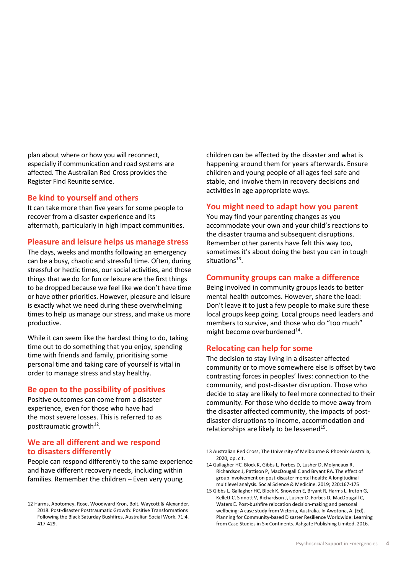plan about where or how you will reconnect, especially if communication and road systems are affected. The Australian Red Cross provides the Register Find Reunite service.

#### **Be kind to yourself and others**

It can take more than five years for some people to recover from a disaster experience and its aftermath, particularly in high impact communities.

#### **Pleasure and leisure helps us manage stress**

The days, weeks and months following an emergency can be a busy, chaotic and stressful time. Often, during stressful or hectic times, our social activities, and those things that we do for fun or leisure are the first things to be dropped because we feel like we don't have time or have other priorities. However, pleasure and leisure is exactly what we need during these overwhelming times to help us manage our stress, and make us more productive.

While it can seem like the hardest thing to do, taking time out to do something that you enjoy, spending time with friends and family, prioritising some personal time and taking care of yourself is vital in order to manage stress and stay healthy.

#### **Be open to the possibility of positives**

Positive outcomes can come from a disaster experience, even for those who have had the most severe losses. This is referred to as posttraumatic growth<sup>12</sup>.

# **We are all different and we respond to disasters differently**

People can respond differently to the same experience and have different recovery needs, including within families. Remember the children – Even very young

children can be affected by the disaster and what is happening around them for years afterwards. Ensure children and young people of all ages feel safe and stable, and involve them in recovery decisions and activities in age appropriate ways.

#### **You might need to adapt how you parent**

You may find your parenting changes as you accommodate your own and your child's reactions to the disaster trauma and subsequent disruptions. Remember other parents have felt this way too, sometimes it's about doing the best you can in tough situations<sup>13</sup>.

## **Community groups can make a difference**

Being involved in community groups leads to better mental health outcomes. However, share the load: Don't leave it to just a few people to make sure these local groups keep going. Local groups need leaders and members to survive, and those who do "too much" might become overburdened<sup>14</sup>.

## **Relocating can help for some**

The decision to stay living in a disaster affected community or to move somewhere else is offset by two contrasting forces in peoples' lives: connection to the community, and post-disaster disruption. Those who decide to stay are likely to feel more connected to their community. For those who decide to move away from the disaster affected community, the impacts of postdisaster disruptions to income, accommodation and relationships are likely to be lessened<sup>15</sup>.

- 13 Australian Red Cross, The University of Melbourne & Phoenix Australia, 2020, op. cit.
- 14 Gallagher HC, Block K, Gibbs L, Forbes D, Lusher D, Molyneaux R, Richardson J, Pattison P, MacDougall C and Bryant RA. The effect of group involvement on post-disaster mental health: A longitudinal multilevel analysis. Social Science & Medicine. 2019; 220:167-175
- 15 Gibbs L, Gallagher HC, Block K, Snowdon E, Bryant R, Harms L, Ireton G, Kellett C, Sinnott V, Richardson J, Lusher D, Forbes D, MacDougall C, Waters E. Post-bushfire relocation decision-making and personal wellbeing: A case study from Victoria, Australia. In Awotona, A. (Ed). Planning for Community-based Disaster Resilience Worldwide: Learning from Case Studies in Six Continents. Ashgate Publishing Limited. 2016.

<sup>12</sup> Harms, Abotomey, Rose, Woodward Kron, Bolt, Waycott & Alexander, 2018. Post-disaster Posttraumatic Growth: Positive Transformations Following the Black Saturday Bushfires, Australian Social Work, 71:4, 417-429.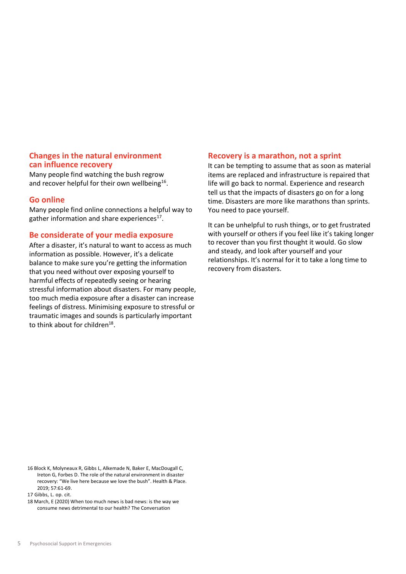#### **Changes in the natural environment can influence recovery**

Many people find watching the bush regrow and recover helpful for their own wellbeing<sup>16</sup>.

## **Go online**

Many people find online connections a helpful way to gather information and share experiences<sup>17</sup>.

#### **Be considerate of your media exposure**

After a disaster, it's natural to want to access as much information as possible. However, it's a delicate balance to make sure you're getting the information that you need without over exposing yourself to harmful effects of repeatedly seeing or hearing stressful information about disasters. For many people, too much media exposure after a disaster can increase feelings of distress. Minimising exposure to stressful or traumatic images and sounds is particularly important to think about for children $^{18}$ .

#### **Recovery is a marathon, not a sprint**

It can be tempting to assume that as soon as material items are replaced and infrastructure is repaired that life will go back to normal. Experience and research tell us that the impacts of disasters go on for a long time. Disasters are more like marathons than sprints. You need to pace yourself.

It can be unhelpful to rush things, or to get frustrated with yourself or others if you feel like it's taking longer to recover than you first thought it would. Go slow and steady, and look after yourself and your relationships. It's normal for it to take a long time to recovery from disasters.

<sup>16</sup> Block K, Molyneaux R, Gibbs L, Alkemade N, Baker E, MacDougall C, Ireton G, Forbes D. The role of the natural environment in disaster recovery: "We live here because we love the bush". Health & Place. 2019; 57:61-69.

<sup>17</sup> Gibbs, L. op. cit.

<sup>18</sup> March, E (2020) When too much news is bad news: is the way we consume news detrimental to our health? The Conversation